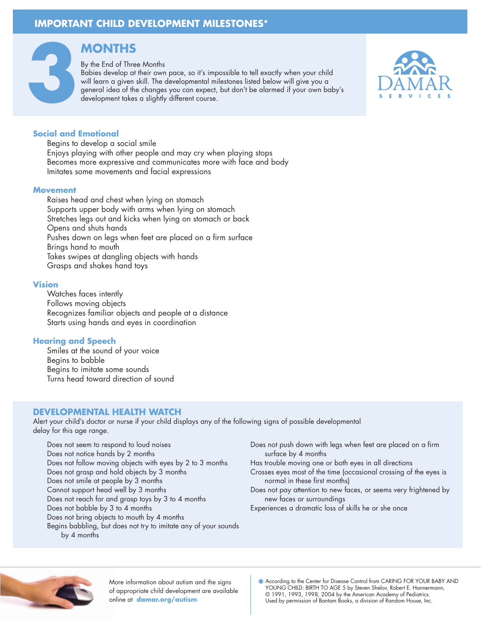

By the End of Three Months Babies develop at their own pace, so it's impossible to tell exactly when your child will learn a given skill. The developmental milestones listed below will give you a general idea of the changes you can expect, but don't be alarmed if your own baby's development takes a slightly different course.



## **Social and Emotional**

Begins to develop a social smile Enjoys playing with other people and may cry when playing stops Becomes more expressive and communicates more with face and body Imitates some movements and facial expressions

### **Movement**

Raises head and chest when lying on stomach Supports upper body with arms when lying on stomach Stretches legs out and kicks when lying on stomach or back Opens and shuts hands Pushes down on legs when feet are placed on a firm surface Brings hand to mouth Takes swipes at dangling objects with hands Grasps and shakes hand toys

### **Vision**

Watches faces intently Follows moving objects Recognizes familiar objects and people at a distance Starts using hands and eyes in coordination

### **Hearing and Speech**

Smiles at the sound of your voice Begins to babble Begins to imitate some sounds Turns head toward direction of sound

### **DEVELOPMENTAL HEALTH WATCH**

Alert your child's doctor or nurse if your child displays any of the following signs of possible developmental delay for this age range.

- Does not seem to respond to loud noises Does not notice hands by 2 months Does not follow moving objects with eyes by 2 to 3 months Does not grasp and hold objects by 3 months Does not smile at people by 3 months Cannot support head well by 3 months Does not reach for and grasp toys by 3 to 4 months Does not babble by 3 to 4 months Does not bring objects to mouth by 4 months Begins babbling, but does not try to imitate any of your sounds by 4 months
- Does not push down with legs when feet are placed on a firm surface by 4 months

Has trouble moving one or both eyes in all directions

- Crosses eyes most of the time (occasional crossing of the eyes is normal in these first months)
- Does not pay attention to new faces, or seems very frightened by new faces or surroundings

Experiences a dramatic loss of skills he or she once



More information about autism and the signs of appropriate child development are available online at **damar.org/autism**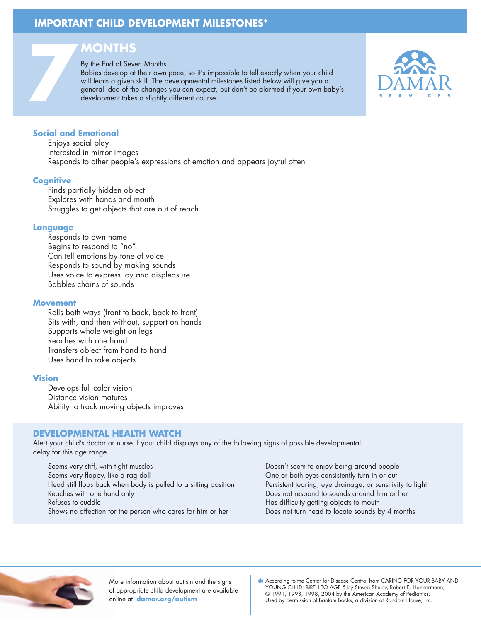By the End of Seven Months

**7 Reduced Serve Conserved Served Served Served Served Served Served Served Served Served Served Served Served Served Served Served Served Served Served Served Served Served Served Served Served Served Served Served Serv** Babies develop at their own pace, so it's impossible to tell exactly when your child will learn a given skill. The developmental milestones listed below will give you a general idea of the changes you can expect, but don't be alarmed if your own baby's development takes a slightly different course.



# **Social and Emotional**

Enjoys social play Interested in mirror images Responds to other people's expressions of emotion and appears joyful often

### **Cognitive**

Finds partially hidden object Explores with hands and mouth Struggles to get objects that are out of reach

### **Language**

Responds to own name Begins to respond to "no" Can tell emotions by tone of voice Responds to sound by making sounds Uses voice to express joy and displeasure Babbles chains of sounds

### **Movement**

Rolls both ways (front to back, back to front) Sits with, and then without, support on hands Supports whole weight on legs Reaches with one hand Transfers object from hand to hand Uses hand to rake objects

### **Vision**

Develops full color vision Distance vision matures Ability to track moving objects improves

### **DEVELOPMENTAL HEALTH WATCH**

Alert your child's doctor or nurse if your child displays any of the following signs of possible developmental delay for this age range.

Seems very stiff, with tight muscles Seems very floppy, like a rag doll Head still flops back when body is pulled to a sitting position Reaches with one hand only Refuses to cuddle Shows no affection for the person who cares for him or her

Doesn't seem to enjoy being around people One or both eyes consistently turn in or out Persistent tearing, eye drainage, or sensitivity to light Does not respond to sounds around him or her Has difficulty getting objects to mouth Does not turn head to locate sounds by 4 months



More information about autism and the signs of appropriate child development are available online at **damar.org/autism**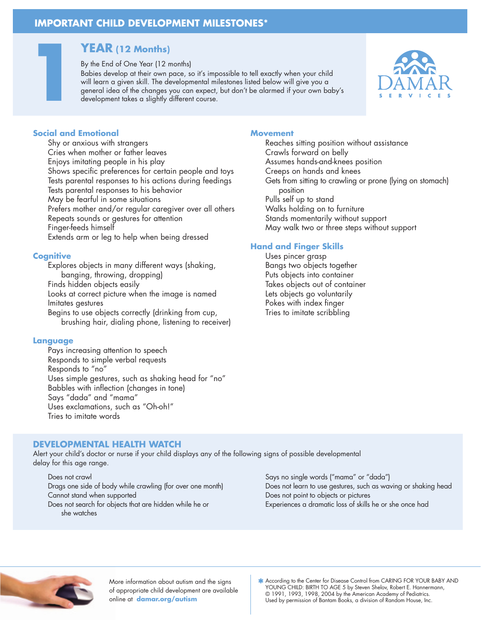

By the End of One Year (12 months)

**12 Months)**<br>By the End of One Year (12 r<br>Babies develop at their own <sub>l</sub><br>will learn a given skill. The de<br>general idea of the changes<br>development takes a slightly Babies develop at their own pace, so it's impossible to tell exactly when your child will learn a given skill. The developmental milestones listed below will give you a general idea of the changes you can expect, but don't be alarmed if your own baby's development takes a slightly different course.



## **Social and Emotional**

Shy or anxious with strangers Cries when mother or father leaves Enjoys imitating people in his play Shows specific preferences for certain people and toys Tests parental responses to his actions during feedings Tests parental responses to his behavior May be fearful in some situations Prefers mother and/or regular caregiver over all others Repeats sounds or gestures for attention Finger-feeds himself Extends arm or leg to help when being dressed

## **Cognitive**

Explores objects in many different ways (shaking, banging, throwing, dropping) Finds hidden objects easily

Looks at correct picture when the image is named Imitates gestures

Begins to use objects correctly (drinking from cup, brushing hair, dialing phone, listening to receiver)

## **Language**

Pays increasing attention to speech Responds to simple verbal requests Responds to "no" Uses simple gestures, such as shaking head for "no" Babbles with inflection (changes in tone) Says "dada" and "mama" Uses exclamations, such as "Oh-oh!" Tries to imitate words

### **Movement**

Reaches sitting position without assistance Crawls forward on belly Assumes hands-and-knees position Creeps on hands and knees Gets from sitting to crawling or prone (lying on stomach) position Pulls self up to stand Walks holding on to furniture Stands momentarily without support May walk two or three steps without support

# **Hand and Finger Skills**

Uses pincer grasp Bangs two objects together Puts objects into container Takes objects out of container Lets objects go voluntarily Pokes with index finger Tries to imitate scribbling

# **DEVELOPMENTAL HEALTH WATCH**

Alert your child's doctor or nurse if your child displays any of the following signs of possible developmental delay for this age range.

Does not crawl Drags one side of body while crawling (for over one month) Cannot stand when supported Does not search for objects that are hidden while he or she watches

Says no single words ("mama" or "dada") Does not learn to use gestures, such as waving or shaking head Does not point to objects or pictures Experiences a dramatic loss of skills he or she once had



More information about autism and the signs of appropriate child development are available online at **damar.org/autism**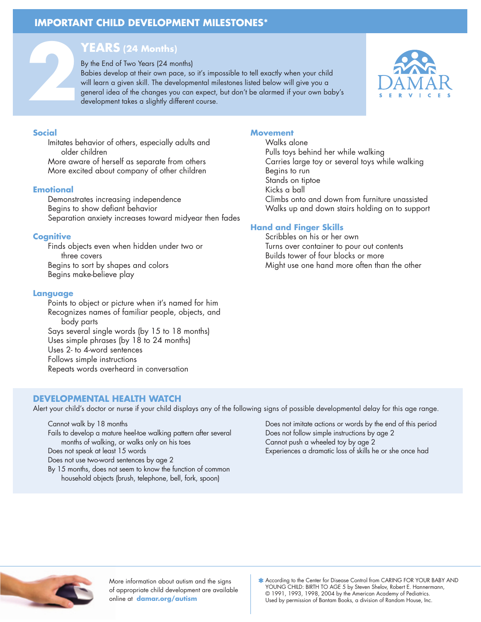

By the End of Two Years (24 months)<br>By the End of Two Years (24 mo<br>Babies develop at their own pa<br>will learn a given skill. The deve<br>general idea of the changes yo<br>development takes a slightly dif By the End of Two Years (24 months) Babies develop at their own pace, so it's impossible to tell exactly when your child will learn a given skill. The developmental milestones listed below will give you a general idea of the changes you can expect, but don't be alarmed if your own baby's development takes a slightly different course.



### **Social**

Imitates behavior of others, especially adults and older children

More aware of herself as separate from others More excited about company of other children

### **Emotional**

Demonstrates increasing independence Begins to show defiant behavior Separation anxiety increases toward midyear then fades

### **Cognitive**

Finds objects even when hidden under two or three covers Begins to sort by shapes and colors Begins make-believe play

### **Language**

Points to object or picture when it's named for him Recognizes names of familiar people, objects, and body parts Says several single words (by 15 to 18 months) Uses simple phrases (by 18 to 24 months) Uses 2- to 4-word sentences Follows simple instructions Repeats words overheard in conversation

### **Movement**

Walks alone Pulls toys behind her while walking Carries large toy or several toys while walking Begins to run Stands on tiptoe Kicks a ball Climbs onto and down from furniture unassisted Walks up and down stairs holding on to support

### **Hand and Finger Skills**

Scribbles on his or her own Turns over container to pour out contents Builds tower of four blocks or more Might use one hand more often than the other

### **DEVELOPMENTAL HEALTH WATCH**

Alert your child's doctor or nurse if your child displays any of the following signs of possible developmental delay for this age range.

Cannot walk by 18 months Fails to develop a mature heel-toe walking pattern after several months of walking, or walks only on his toes Does not speak at least 15 words Does not use two-word sentences by age 2

By 15 months, does not seem to know the function of common household objects (brush, telephone, bell, fork, spoon)

Does not imitate actions or words by the end of this period Does not follow simple instructions by age 2 Cannot push a wheeled toy by age 2 Experiences a dramatic loss of skills he or she once had



More information about autism and the signs of appropriate child development are available online at **damar.org/autism**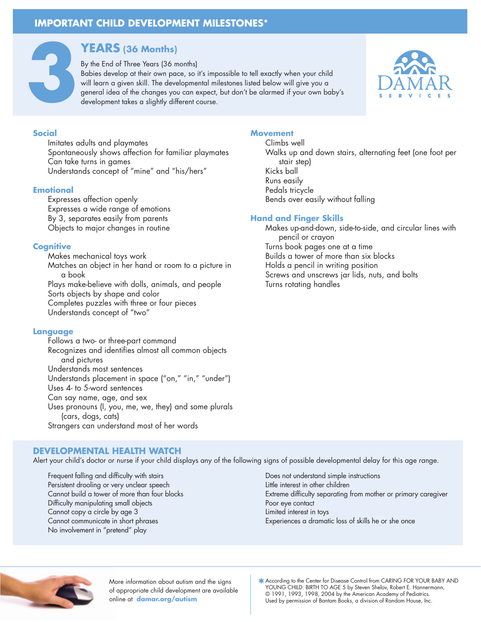

**ISLARS (36 Months)**<br>By the End of Three Years (36 n<br>Babies develop at their own pa<br>will learn a given skill. The deve<br>general idea of the changes you<br>development takes a slightly dif By the End of Three Years (36 months) Babies develop at their own pace, so it's impossible to tell exactly when your child will learn a given skill. The developmental milestones listed below will give you a general idea of the changes you can expect, but don't be alarmed if your own baby's development takes a slightly different course.



### **Social**

Imitates adults and playmates Spontaneously shows affection for familiar playmates Can take turns in games Understands concept of "mine" and "his/hers"

### **Emotional**

Expresses affection openly Expresses a wide range of emotions By 3, separates easily from parents Objects to major changes in routine

### **Cognitive**

Makes mechanical toys work Matches an object in her hand or room to a picture in a book Plays make-believe with dolls, animals, and people Sorts objects by shape and color Completes puzzles with three or four pieces Understands concept of "two"

### **Language**

Follows a two- or three-part command Recognizes and identifies almost all common objects and pictures Understands most sentences Understands placement in space ("on," "in," "under") Uses 4- to 5-word sentences Can say name, age, and sex Uses pronouns (I, you, me, we, they) and some plurals (cars, dogs, cats) Strangers can understand most of her words

### **Movement**

Climbs well Walks up and down stairs, alternating feet (one foot per stair step) Kicks ball Runs easily Pedals tricycle Bends over easily without falling

### **Hand and Finger Skills**

Makes up-and-down, side-to-side, and circular lines with pencil or crayon Turns book pages one at a time Builds a tower of more than six blocks Holds a pencil in writing position Screws and unscrews jar lids, nuts, and bolts Turns rotating handles

### **DEVELOPMENTAL HEALTH WATCH**

Alert your child's doctor or nurse if your child displays any of the following signs of possible developmental delay for this age range.

Frequent falling and difficulty with stairs Persistent drooling or very unclear speech Cannot build a tower of more than four blocks Difficulty manipulating small objects Cannot copy a circle by age 3 Cannot communicate in short phrases No involvement in "pretend" play

Does not understand simple instructions Little interest in other children Extreme difficulty separating from mother or primary caregiver Poor eye contact Limited interest in toys Experiences a dramatic loss of skills he or she once



More information about autism and the signs of appropriate child development are available online at **damar.org/autism**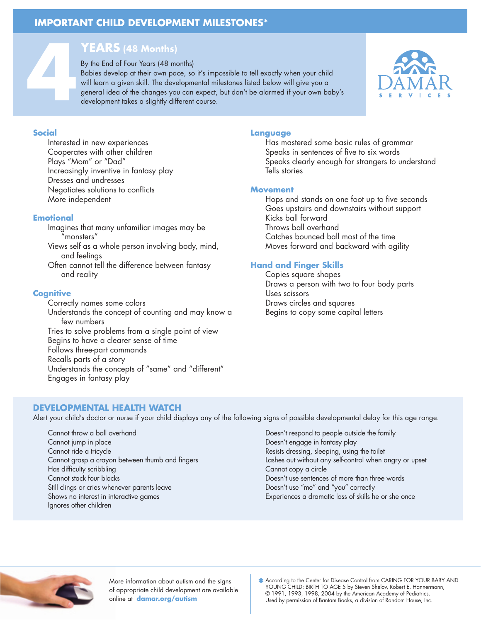**48 Months)**<br>By the End of Four Years (48 me<br>Babies develop at their own pa<br>will learn a given skill. The deve<br>general idea of the changes you<br>development takes a slightly dif By the End of Four Years (48 months) Babies develop at their own pace, so it's impossible to tell exactly when your child will learn a given skill. The developmental milestones listed below will give you a general idea of the changes you can expect, but don't be alarmed if your own baby's development takes a slightly different course.



### **Social**

Interested in new experiences Cooperates with other children Plays "Mom" or "Dad" Increasingly inventive in fantasy play Dresses and undresses Negotiates solutions to conflicts More independent

### **Emotional**

- Imagines that many unfamiliar images may be "monsters"
- Views self as a whole person involving body, mind, and feelings
- Often cannot tell the difference between fantasy and reality

## **Cognitive**

Correctly names some colors Understands the concept of counting and may know a few numbers Tries to solve problems from a single point of view Begins to have a clearer sense of time Follows three-part commands Recalls parts of a story Understands the concepts of "same" and "different" Engages in fantasy play

## **Language**

Has mastered some basic rules of grammar Speaks in sentences of five to six words Speaks clearly enough for strangers to understand Tells stories

### **Movement**

Hops and stands on one foot up to five seconds Goes upstairs and downstairs without support Kicks ball forward Throws ball overhand Catches bounced ball most of the time Moves forward and backward with agility

# **Hand and Finger Skills**

Copies square shapes Draws a person with two to four body parts Uses scissors Draws circles and squares Begins to copy some capital letters

# **DEVELOPMENTAL HEALTH WATCH**

Alert your child's doctor or nurse if your child displays any of the following signs of possible developmental delay for this age range.

Cannot throw a ball overhand Cannot jump in place Cannot ride a tricycle Cannot grasp a crayon between thumb and fingers Has difficulty scribbling Cannot stack four blocks Still clings or cries whenever parents leave Shows no interest in interactive games Ignores other children

Doesn't respond to people outside the family Doesn't engage in fantasy play Resists dressing, sleeping, using the toilet Lashes out without any self-control when angry or upset Cannot copy a circle Doesn't use sentences of more than three words Doesn't use "me" and "you" correctly Experiences a dramatic loss of skills he or she once



More information about autism and the signs of appropriate child development are available online at **damar.org/autism**